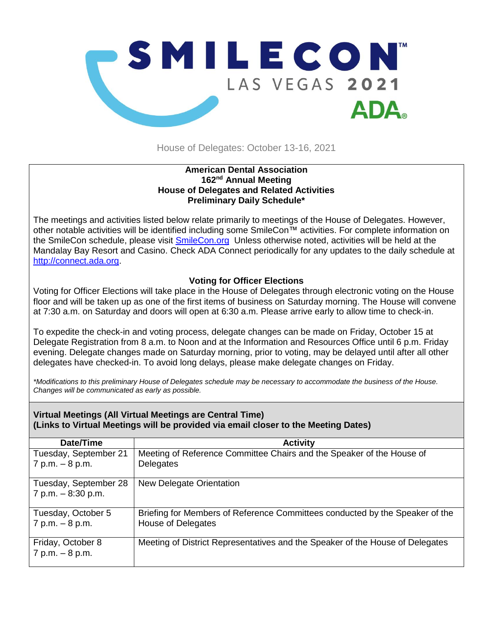

House of Delegates: October 13-16, 2021

## **American Dental Association 162 nd Annual Meeting House of Delegates and Related Activities Preliminary Daily Schedule\***

The meetings and activities listed below relate primarily to meetings of the House of Delegates. However, other notable activities will be identified including some SmileCon™ activities. For complete information on the SmileCon schedule, please visit [SmileCon.org](https://smilecon.org/en) Unless otherwise noted, activities will be held at the Mandalay Bay Resort and Casino. Check ADA Connect periodically for any updates to the daily schedule at [http://connect.ada.org.](http://connect.ada.org/)

## **Voting for Officer Elections**

Voting for Officer Elections will take place in the House of Delegates through electronic voting on the House floor and will be taken up as one of the first items of business on Saturday morning. The House will convene at 7:30 a.m. on Saturday and doors will open at 6:30 a.m. Please arrive early to allow time to check-in.

To expedite the check-in and voting process, delegate changes can be made on Friday, October 15 at Delegate Registration from 8 a.m. to Noon and at the Information and Resources Office until 6 p.m. Friday evening. Delegate changes made on Saturday morning, prior to voting, may be delayed until after all other delegates have checked-in. To avoid long delays, please make delegate changes on Friday.

*\*Modifications to this preliminary House of Delegates schedule may be necessary to accommodate the business of the House. Changes will be communicated as early as possible.* 

## **Virtual Meetings (All Virtual Meetings are Central Time) (Links to Virtual Meetings will be provided via email closer to the Meeting Dates)**

| Date/Time                              | <b>Activity</b>                                                               |
|----------------------------------------|-------------------------------------------------------------------------------|
| Tuesday, September 21                  | Meeting of Reference Committee Chairs and the Speaker of the House of         |
| $7 p.m. - 8 p.m.$                      | Delegates                                                                     |
| Tuesday, September 28                  | New Delegate Orientation                                                      |
| $7 p.m. - 8:30 p.m.$                   |                                                                               |
| Tuesday, October 5                     | Briefing for Members of Reference Committees conducted by the Speaker of the  |
| $7 p.m. - 8 p.m.$                      | House of Delegates                                                            |
| Friday, October 8<br>$7 p.m. - 8 p.m.$ | Meeting of District Representatives and the Speaker of the House of Delegates |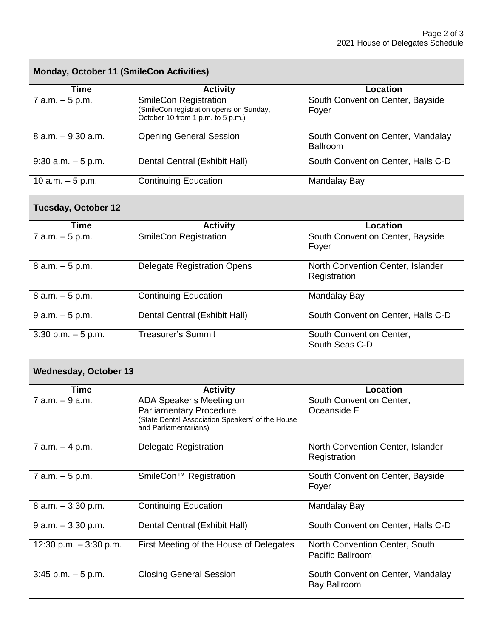| <b>Monday, October 11 (SmileCon Activities)</b> |                                                                                                                                         |                                                      |  |  |
|-------------------------------------------------|-----------------------------------------------------------------------------------------------------------------------------------------|------------------------------------------------------|--|--|
| <b>Time</b>                                     | <b>Activity</b>                                                                                                                         | Location                                             |  |  |
| $7$ a.m. $-5$ p.m.                              | <b>SmileCon Registration</b><br>(SmileCon registration opens on Sunday,<br>October 10 from 1 p.m. to 5 p.m.)                            | South Convention Center, Bayside<br>Foyer            |  |  |
| 8 a.m. - 9:30 a.m.                              | <b>Opening General Session</b>                                                                                                          | South Convention Center, Mandalay<br><b>Ballroom</b> |  |  |
| $9:30$ a.m. $-5$ p.m.                           | Dental Central (Exhibit Hall)                                                                                                           | South Convention Center, Halls C-D                   |  |  |
| 10 a.m. $-5$ p.m.                               | <b>Continuing Education</b>                                                                                                             | Mandalay Bay                                         |  |  |
| <b>Tuesday, October 12</b>                      |                                                                                                                                         |                                                      |  |  |
| <b>Time</b>                                     | <b>Activity</b>                                                                                                                         | <b>Location</b>                                      |  |  |
| $7$ a.m. $-5$ p.m.                              | <b>SmileCon Registration</b>                                                                                                            | South Convention Center, Bayside<br>Foyer            |  |  |
| $8 a.m. - 5 p.m.$                               | <b>Delegate Registration Opens</b>                                                                                                      | North Convention Center, Islander<br>Registration    |  |  |
| $8 a.m. - 5 p.m.$                               | <b>Continuing Education</b>                                                                                                             | Mandalay Bay                                         |  |  |
| $9 a.m. - 5 p.m.$                               | Dental Central (Exhibit Hall)                                                                                                           | South Convention Center, Halls C-D                   |  |  |
| $3:30$ p.m. $-5$ p.m.                           | <b>Treasurer's Summit</b>                                                                                                               | South Convention Center,<br>South Seas C-D           |  |  |
| <b>Wednesday, October 13</b>                    |                                                                                                                                         |                                                      |  |  |
| <b>Time</b>                                     | <b>Activity</b>                                                                                                                         | <b>Location</b>                                      |  |  |
| $7$ a.m. $-9$ a.m.                              | ADA Speaker's Meeting on<br><b>Parliamentary Procedure</b><br>(State Dental Association Speakers' of the House<br>and Parliamentarians) | South Convention Center,<br>Oceanside E              |  |  |
| $7$ a.m. $-4$ p.m.                              | <b>Delegate Registration</b>                                                                                                            | North Convention Center, Islander<br>Registration    |  |  |
| $7$ a.m. $-5$ p.m.                              | SmileCon <sup>™</sup> Registration                                                                                                      | South Convention Center, Bayside<br>Foyer            |  |  |
| 8 a.m. - 3:30 p.m.                              | <b>Continuing Education</b>                                                                                                             | Mandalay Bay                                         |  |  |
| $9$ a.m. $-3:30$ p.m.                           | Dental Central (Exhibit Hall)                                                                                                           | South Convention Center, Halls C-D                   |  |  |
| 12:30 p.m. $-3:30$ p.m.                         | First Meeting of the House of Delegates                                                                                                 | North Convention Center, South<br>Pacific Ballroom   |  |  |
| $3:45$ p.m. $-5$ p.m.                           | <b>Closing General Session</b>                                                                                                          | South Convention Center, Mandalay<br>Bay Ballroom    |  |  |